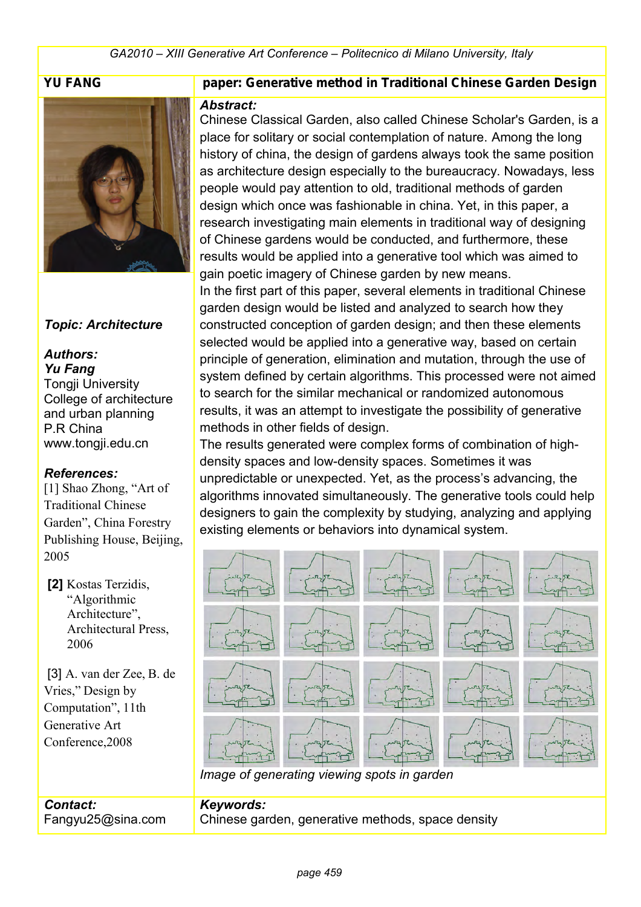

#### *Topic: Architecture*

#### *Authors: Yu Fang*

Tongji University College of architecture and urban planning P.R China www.tongji.edu.cn

#### *References:*

[1] Shao Zhong, "Art of Traditional Chinese Garden", China Forestry Publishing House, Beijing, 2005

 **[2]** Kostas Terzidis, "Algorithmic Architecture", Architectural Press, 2006

 [3] A. van der Zee, B. de Vries," Design by Computation", 11th Generative Art Conference,2008

#### **YU FANG paper: Generative method in Traditional Chinese Garden Design**

#### *Abstract:*

Chinese Classical Garden, also called Chinese Scholar's Garden, is a place for solitary or social contemplation of nature. Among the long history of china, the design of gardens always took the same position as architecture design especially to the bureaucracy. Nowadays, less people would pay attention to old, traditional methods of garden design which once was fashionable in china. Yet, in this paper, a research investigating main elements in traditional way of designing of Chinese gardens would be conducted, and furthermore, these results would be applied into a generative tool which was aimed to gain poetic imagery of Chinese garden by new means. In the first part of this paper, several elements in traditional Chinese garden design would be listed and analyzed to search how they constructed conception of garden design; and then these elements selected would be applied into a generative way, based on certain principle of generation, elimination and mutation, through the use of system defined by certain algorithms. This processed were not aimed to search for the similar mechanical or randomized autonomous results, it was an attempt to investigate the possibility of generative methods in other fields of design.

The results generated were complex forms of combination of highdensity spaces and low-density spaces. Sometimes it was unpredictable or unexpected. Yet, as the process's advancing, the algorithms innovated simultaneously. The generative tools could help designers to gain the complexity by studying, analyzing and applying existing elements or behaviors into dynamical system.



#### *Contact:* Fangyu25@sina.com *Keywords:*  Chinese garden, generative methods, space density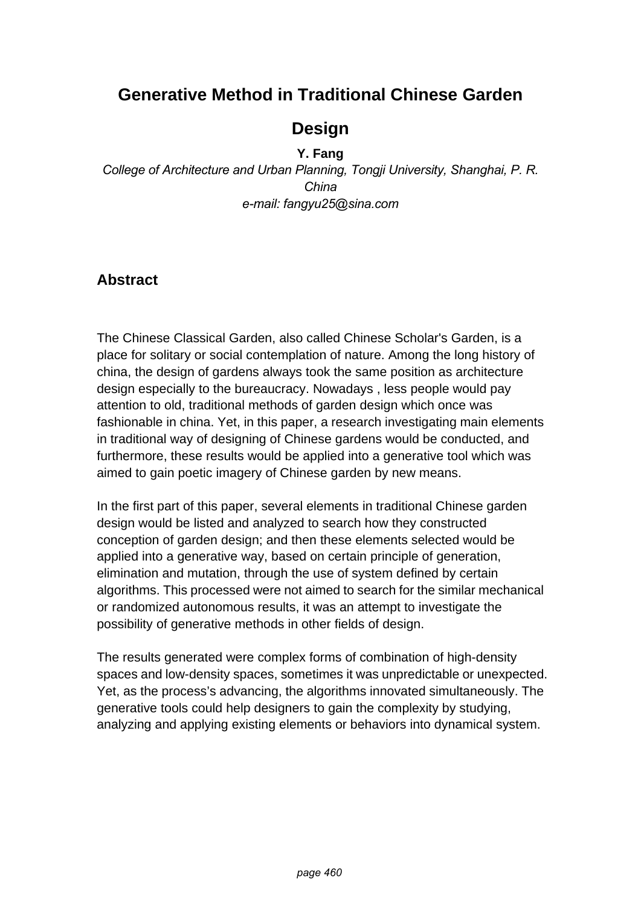# **Generative Method in Traditional Chinese Garden**

# **Design**

#### **Y. Fang**

*College of Architecture and Urban Planning, Tongji University, Shanghai, P. R. China e-mail: fangyu25@sina.com*

# **Abstract**

The Chinese Classical Garden, also called Chinese Scholar's Garden, is a place for solitary or social contemplation of nature. Among the long history of china, the design of gardens always took the same position as architecture design especially to the bureaucracy. Nowadays , less people would pay attention to old, traditional methods of garden design which once was fashionable in china. Yet, in this paper, a research investigating main elements in traditional way of designing of Chinese gardens would be conducted, and furthermore, these results would be applied into a generative tool which was aimed to gain poetic imagery of Chinese garden by new means.

In the first part of this paper, several elements in traditional Chinese garden design would be listed and analyzed to search how they constructed conception of garden design; and then these elements selected would be applied into a generative way, based on certain principle of generation, elimination and mutation, through the use of system defined by certain algorithms. This processed were not aimed to search for the similar mechanical or randomized autonomous results, it was an attempt to investigate the possibility of generative methods in other fields of design.

The results generated were complex forms of combination of high-density spaces and low-density spaces, sometimes it was unpredictable or unexpected. Yet, as the process's advancing, the algorithms innovated simultaneously. The generative tools could help designers to gain the complexity by studying, analyzing and applying existing elements or behaviors into dynamical system.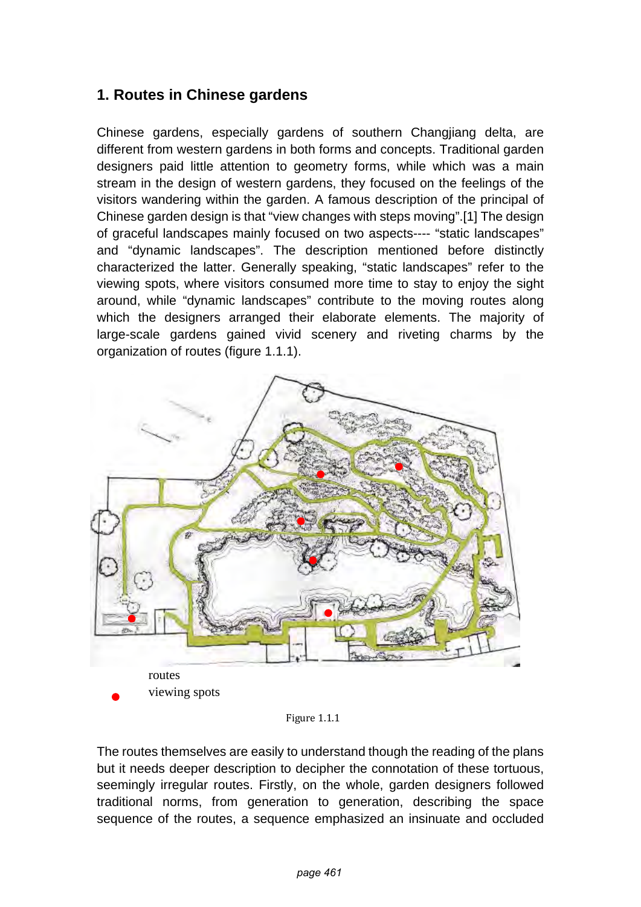# **1. Routes in Chinese gardens**

Chinese gardens, especially gardens of southern Changjiang delta, are different from western gardens in both forms and concepts. Traditional garden designers paid little attention to geometry forms, while which was a main stream in the design of western gardens, they focused on the feelings of the visitors wandering within the garden. A famous description of the principal of Chinese garden design is that "view changes with steps moving".[1] The design of graceful landscapes mainly focused on two aspects---- "static landscapes" and "dynamic landscapes". The description mentioned before distinctly characterized the latter. Generally speaking, "static landscapes" refer to the viewing spots, where visitors consumed more time to stay to enjoy the sight around, while "dynamic landscapes" contribute to the moving routes along which the designers arranged their elaborate elements. The majority of large-scale gardens gained vivid scenery and riveting charms by the organization of routes (figure 1.1.1).



Figure 1.1.1

The routes themselves are easily to understand though the reading of the plans but it needs deeper description to decipher the connotation of these tortuous, seemingly irregular routes. Firstly, on the whole, garden designers followed traditional norms, from generation to generation, describing the space sequence of the routes, a sequence emphasized an insinuate and occluded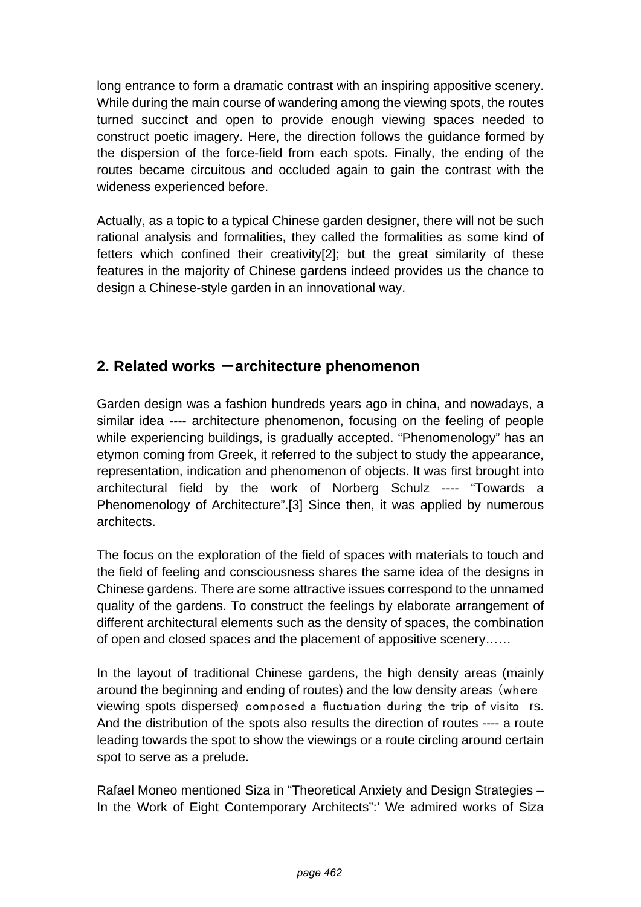long entrance to form a dramatic contrast with an inspiring appositive scenery. While during the main course of wandering among the viewing spots, the routes turned succinct and open to provide enough viewing spaces needed to construct poetic imagery. Here, the direction follows the guidance formed by the dispersion of the force-field from each spots. Finally, the ending of the routes became circuitous and occluded again to gain the contrast with the wideness experienced before.

Actually, as a topic to a typical Chinese garden designer, there will not be such rational analysis and formalities, they called the formalities as some kind of fetters which confined their creativity[2]; but the great similarity of these features in the majority of Chinese gardens indeed provides us the chance to design a Chinese-style garden in an innovational way.

# **2. Related works -architecture phenomenon**

Garden design was a fashion hundreds years ago in china, and nowadays, a similar idea ---- architecture phenomenon, focusing on the feeling of people while experiencing buildings, is gradually accepted. "Phenomenology" has an etymon coming from Greek, it referred to the subject to study the appearance, representation, indication and phenomenon of objects. It was first brought into architectural field by the work of Norberg Schulz ---- "Towards a Phenomenology of Architecture".[3] Since then, it was applied by numerous architects.

The focus on the exploration of the field of spaces with materials to touch and the field of feeling and consciousness shares the same idea of the designs in Chinese gardens. There are some attractive issues correspond to the unnamed quality of the gardens. To construct the feelings by elaborate arrangement of different architectural elements such as the density of spaces, the combination of open and closed spaces and the placement of appositive scenery……

In the layout of traditional Chinese gardens, the high density areas (mainly around the beginning and ending of routes) and the low density areas (where viewing spots dispersed) composed a fluctuation during the trip of visito rs. And the distribution of the spots also results the direction of routes ---- a route leading towards the spot to show the viewings or a route circling around certain spot to serve as a prelude.

Rafael Moneo mentioned Siza in ["Theoretical Anxiety and Design Strategies –](http://www.amazon.com/Theoretical-Anxiety-Strategies-Contemporary-Architects/dp/0262134438/ref=pd_bbs_sr_1?ie=UTF8&s=books&qid=1201682027&sr=1-1)  [In the Work of Eight Contemporary Architects"](http://www.amazon.com/Theoretical-Anxiety-Strategies-Contemporary-Architects/dp/0262134438/ref=pd_bbs_sr_1?ie=UTF8&s=books&qid=1201682027&sr=1-1):' We admired works of Siza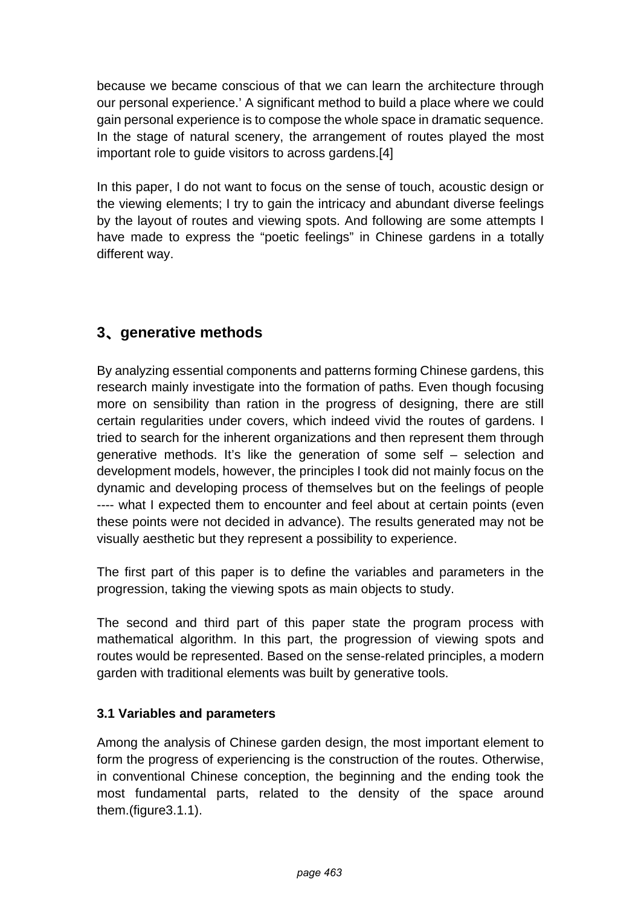because we became conscious of that we can learn the architecture through our personal experience.' A significant method to build a place where we could gain personal experience is to compose the whole space in dramatic sequence. In the stage of natural scenery, the arrangement of routes played the most important role to guide visitors to across gardens.[4]

In this paper, I do not want to focus on the sense of touch, acoustic design or the viewing elements; I try to gain the intricacy and abundant diverse feelings by the layout of routes and viewing spots. And following are some attempts I have made to express the "poetic feelings" in Chinese gardens in a totally different way.

# **3**、 **generative methods**

By analyzing essential components and patterns forming Chinese gardens, this research mainly investigate into the formation of paths. Even though focusing more on sensibility than ration in the progress of designing, there are still certain regularities under covers, which indeed vivid the routes of gardens. I tried to search for the inherent organizations and then represent them through generative methods. It's like the generation of some self – selection and development models, however, the principles I took did not mainly focus on the dynamic and developing process of themselves but on the feelings of people ---- what I expected them to encounter and feel about at certain points (even these points were not decided in advance). The results generated may not be visually aesthetic but they represent a possibility to experience.

The first part of this paper is to define the variables and parameters in the progression, taking the viewing spots as main objects to study.

The second and third part of this paper state the program process with mathematical algorithm. In this part, the progression of viewing spots and routes would be represented. Based on the sense-related principles, a modern garden with traditional elements was built by generative tools.

# **3.1 Variables and parameters**

Among the analysis of Chinese garden design, the most important element to form the progress of experiencing is the construction of the routes. Otherwise, in conventional Chinese conception, the beginning and the ending took the most fundamental parts, related to the density of the space around them.(figure3.1.1).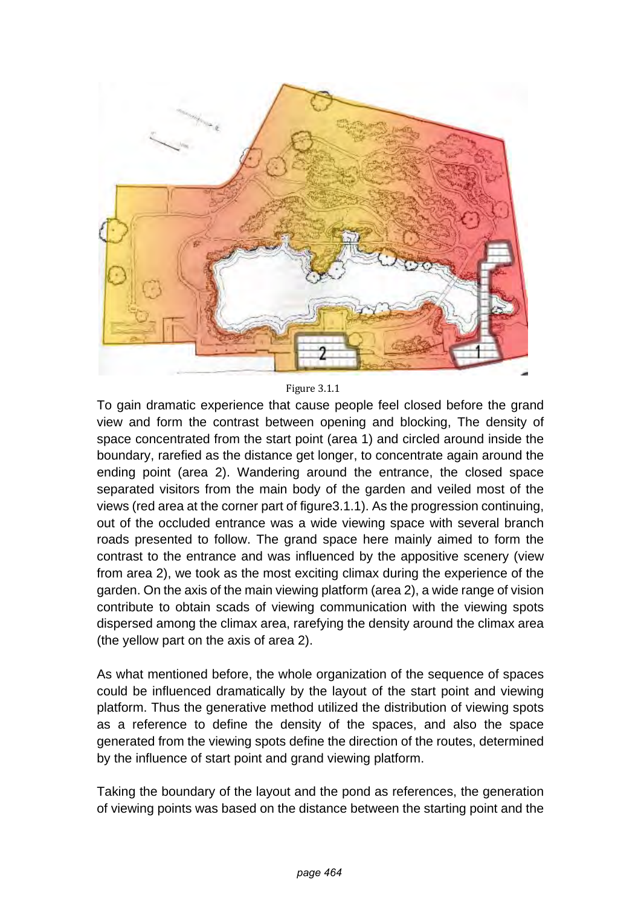

Figure 3.1.1

To gain dramatic experience that cause people feel closed before the grand view and form the contrast between opening and blocking, The density of space concentrated from the start point (area 1) and circled around inside the boundary, rarefied as the distance get longer, to concentrate again around the ending point (area 2). Wandering around the entrance, the closed space separated visitors from the main body of the garden and veiled most of the views (red area at the corner part of figure3.1.1). As the progression continuing, out of the occluded entrance was a wide viewing space with several branch roads presented to follow. The grand space here mainly aimed to form the contrast to the entrance and was influenced by the appositive scenery (view from area 2), we took as the most exciting climax during the experience of the garden. On the axis of the main viewing platform (area 2), a wide range of vision contribute to obtain scads of viewing communication with the viewing spots dispersed among the climax area, rarefying the density around the climax area (the yellow part on the axis of area 2).

As what mentioned before, the whole organization of the sequence of spaces could be influenced dramatically by the layout of the start point and viewing platform. Thus the generative method utilized the distribution of viewing spots as a reference to define the density of the spaces, and also the space generated from the viewing spots define the direction of the routes, determined by the influence of start point and grand viewing platform.

Taking the boundary of the layout and the pond as references, the generation of viewing points was based on the distance between the starting point and the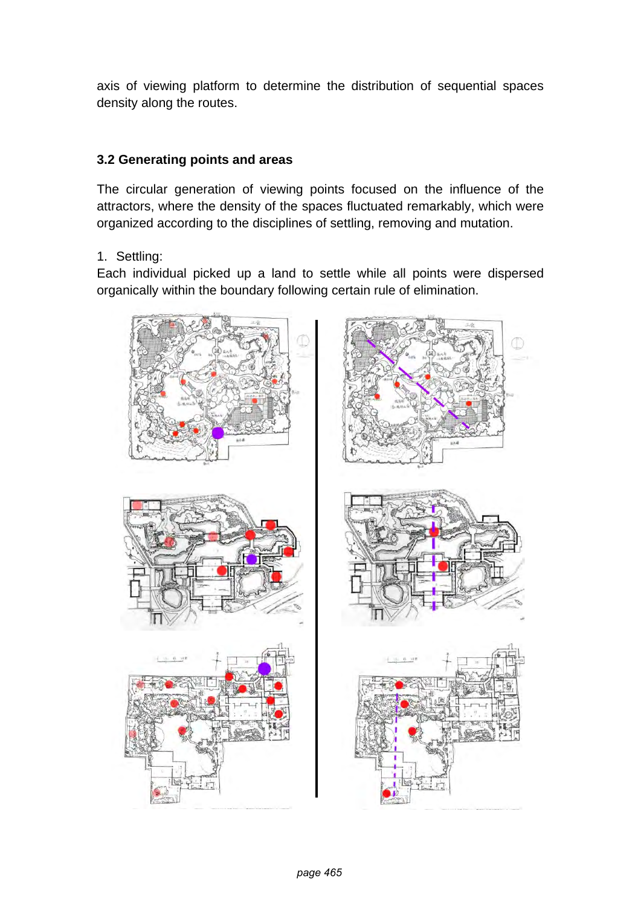axis of viewing platform to determine the distribution of sequential spaces density along the routes.

#### **3.2 Generating points and areas**

The circular generation of viewing points focused on the influence of the attractors, where the density of the spaces fluctuated remarkably, which were organized according to the disciplines of settling, removing and mutation.

1. Settling:

Each individual picked up a land to settle while all points were dispersed organically within the boundary following certain rule of elimination.

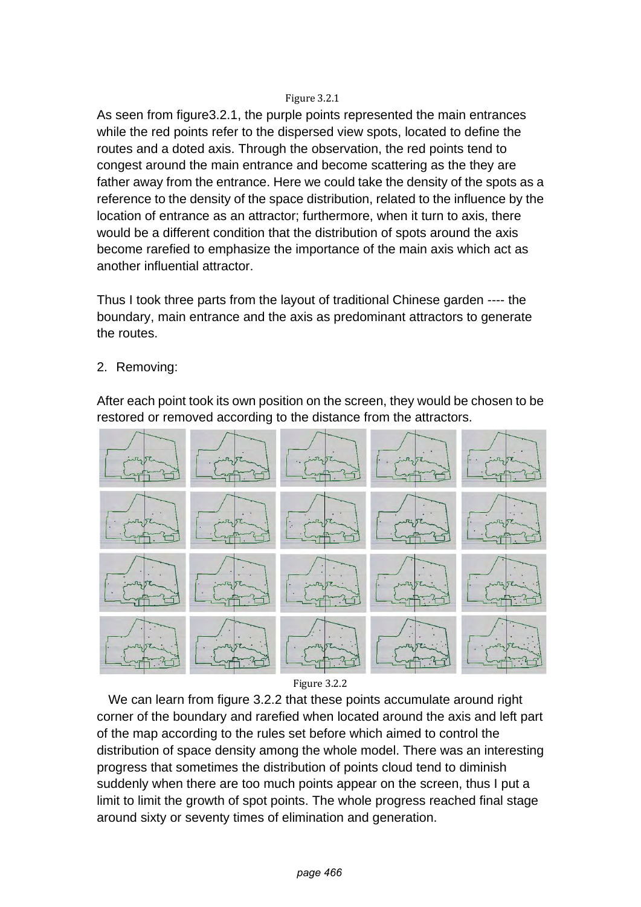#### Figure 3.2.1

As seen from figure3.2.1, the purple points represented the main entrances while the red points refer to the dispersed view spots, located to define the routes and a doted axis. Through the observation, the red points tend to congest around the main entrance and become scattering as the they are father away from the entrance. Here we could take the density of the spots as a reference to the density of the space distribution, related to the influence by the location of entrance as an attractor; furthermore, when it turn to axis, there would be a different condition that the distribution of spots around the axis become rarefied to emphasize the importance of the main axis which act as another influential attractor.

Thus I took three parts from the layout of traditional Chinese garden ---- the boundary, main entrance and the axis as predominant attractors to generate the routes.

2. Removing:

After each point took its own position on the screen, they would be chosen to be restored or removed according to the distance from the attractors.





 We can learn from figure 3.2.2 that these points accumulate around right corner of the boundary and rarefied when located around the axis and left part of the map according to the rules set before which aimed to control the distribution of space density among the whole model. There was an interesting progress that sometimes the distribution of points cloud tend to diminish suddenly when there are too much points appear on the screen, thus I put a limit to limit the growth of spot points. The whole progress reached final stage around sixty or seventy times of elimination and generation.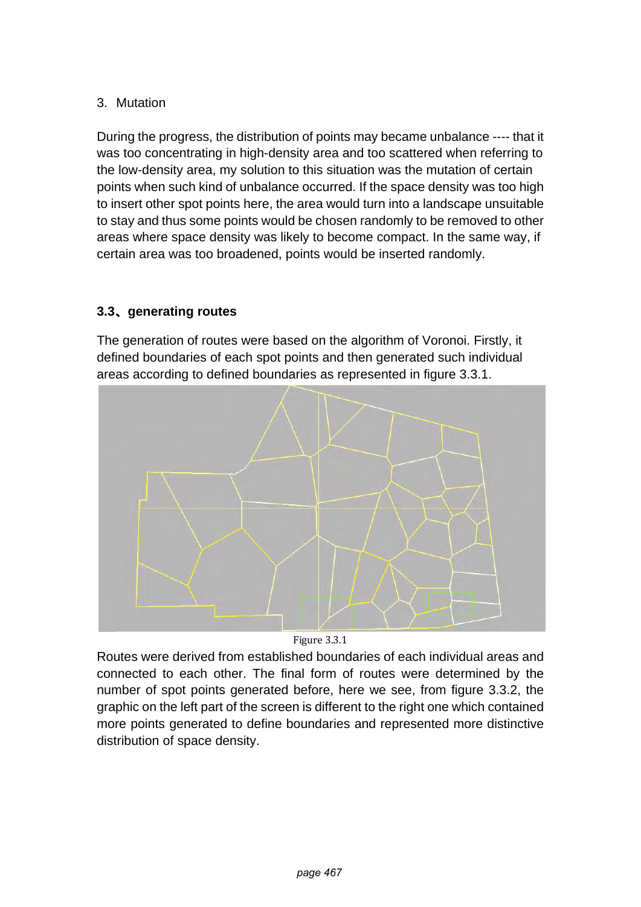### 3. Mutation

During the progress, the distribution of points may became unbalance ---- that it was too concentrating in high-density area and too scattered when referring to the low-density area, my solution to this situation was the mutation of certain points when such kind of unbalance occurred. If the space density was too high to insert other spot points here, the area would turn into a landscape unsuitable to stay and thus some points would be chosen randomly to be removed to other areas where space density was likely to become compact. In the same way, if certain area was too broadened, points would be inserted randomly.

# **3.3**、 **generating routes**

The generation of routes were based on the algorithm of Voronoi. Firstly, it defined boundaries of each spot points and then generated such individual areas according to defined boundaries as represented in figure 3.3.1.



Figure 3.3.1

Routes were derived from established boundaries of each individual areas and connected to each other. The final form of routes were determined by the number of spot points generated before, here we see, from figure 3.3.2, the graphic on the left part of the screen is different to the right one which contained more points generated to define boundaries and represented more distinctive distribution of space density.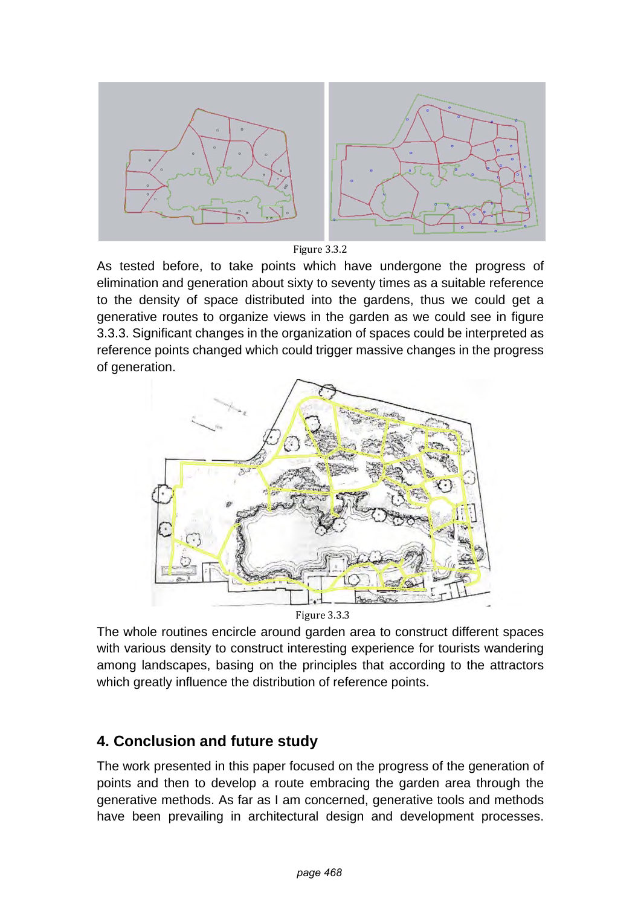

Figure 3.3.2

As tested before, to take points which have undergone the progress of elimination and generation about sixty to seventy times as a suitable reference to the density of space distributed into the gardens, thus we could get a generative routes to organize views in the garden as we could see in figure 3.3.3. Significant changes in the organization of spaces could be interpreted as reference points changed which could trigger massive changes in the progress of generation.



Figure 3.3.3

The whole routines encircle around garden area to construct different spaces with various density to construct interesting experience for tourists wandering among landscapes, basing on the principles that according to the attractors which greatly influence the distribution of reference points.

# **4. Conclusion and future study**

The work presented in this paper focused on the progress of the generation of points and then to develop a route embracing the garden area through the generative methods. As far as I am concerned, generative tools and methods have been prevailing in architectural design and development processes.